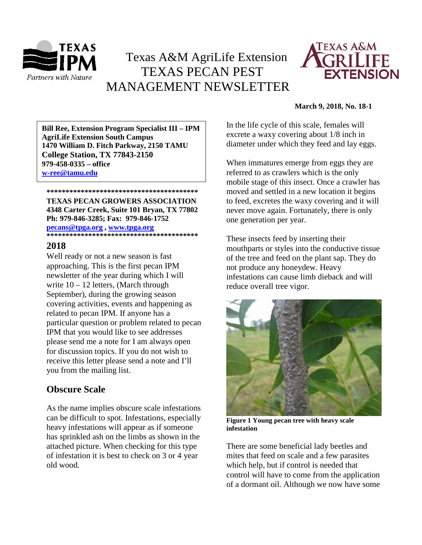

# Texas A&M AgriLife Extension TEXAS PECAN PEST MANAGEMENT NEWSLETTER



#### **March 9, 2018, No. 18-1**

**\*\*\*\*\*\*\*\*\*\*\*\*\*\*\*\*\*\*\*\*\*\*\*\*\*\*\*\*\*\*\*\*\*\*\*\*\*\*\*\* 1470 William D. Fitch Parkway, 2150 TAMU Bill Ree, Extension Program Specialist III – IPM AgriLife Extension South Campus College Station, TX 77843-2150 979-458-0335 – office [w-ree@tamu.edu](mailto:w-ree@tamu.edu)**

**\*\*\*\*\*\*\*\*\*\*\*\*\*\*\*\*\*\*\*\*\*\*\*\*\*\*\*\*\*\*\*\*\*\*\*\*\*\*\*\* TEXAS PECAN GROWERS ASSOCIATION 4348 Carter Creek, Suite 101 Bryan, TX 77802 Ph: 979-846-3285; Fax: 979-846-1752**

#### **[pecans@tpga.org](mailto:pecans@tpga.org) , [www.tpga.org](http://www.tpga.org/) \*\*\*\*\*\*\*\*\*\*\*\*\*\*\*\*\*\*\*\*\*\*\*\*\*\*\*\*\*\*\*\*\*\*\*\*\*\*\*\***

### **2018**

Well ready or not a new season is fast approaching. This is the first pecan IPM newsletter of the year during which I will write  $10 - 12$  letters, (March through September), during the growing season covering activities, events and happening as related to pecan IPM. If anyone has a particular question or problem related to pecan IPM that you would like to see addresses please send me a note for I am always open for discussion topics. If you do not wish to receive this letter please send a note and I'll you from the mailing list.

# **Obscure Scale**

As the name implies obscure scale infestations can be difficult to spot. Infestations, especially heavy infestations will appear as if someone has sprinkled ash on the limbs as shown in the attached picture. When checking for this type of infestation it is best to check on 3 or 4 year old wood.

In the life cycle of this scale, females will excrete a waxy covering about 1/8 inch in diameter under which they feed and lay eggs.

When immatures emerge from eggs they are referred to as crawlers which is the only mobile stage of this insect. Once a crawler has moved and settled in a new location it begins to feed, excretes the waxy covering and it will never move again. Fortunately, there is only one generation per year.

These insects feed by inserting their mouthparts or styles into the conductive tissue of the tree and feed on the plant sap. They do not produce any honeydew. Heavy infestations can cause limb dieback and will reduce overall tree vigor.



**Figure 1 Young pecan tree with heavy scale infestation**

There are some beneficial lady beetles and mites that feed on scale and a few parasites which help, but if control is needed that control will have to come from the application of a dormant oil. Although we now have some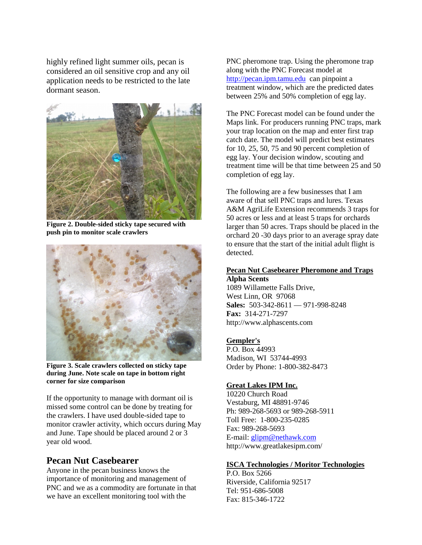highly refined light summer oils, pecan is considered an oil sensitive crop and any oil application needs to be restricted to the late dormant season.



**Figure 2. Double-sided sticky tape secured with push pin to monitor scale crawlers**



**Figure 3. Scale crawlers collected on sticky tape during June. Note scale on tape in bottom right corner for size comparison**

If the opportunity to manage with dormant oil is missed some control can be done by treating for the crawlers. I have used double-sided tape to monitor crawler activity, which occurs during May and June. Tape should be placed around 2 or 3 year old wood.

# **Pecan Nut Casebearer**

Anyone in the pecan business knows the importance of monitoring and management of PNC and we as a commodity are fortunate in that we have an excellent monitoring tool with the

PNC pheromone trap. Using the pheromone trap along with the PNC Forecast model at [http://pecan.ipm.tamu.edu](http://pecan.ipm.tamu.edu/) can pinpoint a treatment window, which are the predicted dates between 25% and 50% completion of egg lay.

The PNC Forecast model can be found under the Maps link. For producers running PNC traps, mark your trap location on the map and enter first trap catch date. The model will predict best estimates for 10, 25, 50, 75 and 90 percent completion of egg lay. Your decision window, scouting and treatment time will be that time between 25 and 50 completion of egg lay.

The following are a few businesses that I am aware of that sell PNC traps and lures. Texas A&M AgriLife Extension recommends 3 traps for 50 acres or less and at least 5 traps for orchards larger than 50 acres. Traps should be placed in the orchard 20 -30 days prior to an average spray date to ensure that the start of the initial adult flight is detected.

#### **Pecan Nut Casebearer Pheromone and Traps Alpha Scents**

1089 Willamette Falls Drive, West Linn, OR 97068 **Sales:** 503-342-8611 — 971-998-8248 **Fax:** 314-271-7297 http://www.alphascents.com

## **[Gempler's](http://www.gemplers.com/)**

P.O. Box 44993 Madison, WI 53744-4993 Order by Phone: 1-800-382-8473

## **[Great Lakes IPM Inc.](http://www.greatlakesipm.com/)**

10220 Church Road Vestaburg, MI 48891-9746 Ph: 989-268-5693 or 989-268-5911 Toll Free: 1-800-235-0285 Fax: 989-268-5693 E-mail: [glipm@nethawk.com](mailto:glipm@nethawk.com) http://www.greatlakesipm.com/

#### **[ISCA Technologies / Moritor Technologies](http://www.iscatech.com/exec/)**

P.O. Box 5266 Riverside, California 92517 Tel: 951-686-5008 Fax: 815-346-1722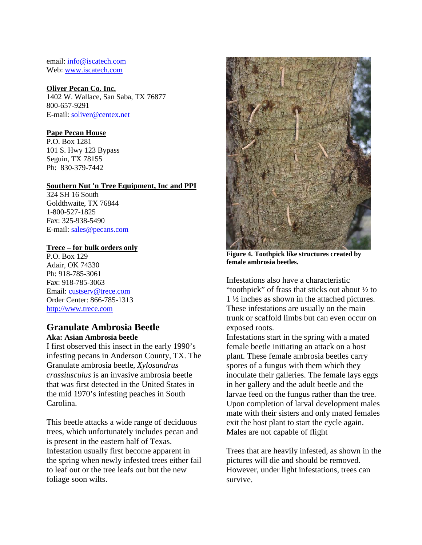email[: info@iscatech.com](mailto:info@iscatech.com) Web: [www.iscatech.com](http://www.iscatech.com/)

### **[Oliver Pecan Co. Inc.](http://www.oliverpecan.com/)**

1402 W. Wallace, San Saba, TX 76877 800-657-9291 E-mail: [soliver@centex.net](mailto:soliver@centex.net)

### **[Pape Pecan House](http://www.papepecan.com/)**

P.O. Box 1281 101 S. Hwy 123 Bypass Seguin, TX 78155 Ph: 830-379-7442

#### **Southern Nut 'n Tree Equipment, Inc and PPI**

324 SH 16 South Goldthwaite, TX 76844 1-800-527-1825 Fax: 325-938-5490 E-mail: [sales@pecans.com](mailto:sales@pecans.com)

### **[Trece](http://www.trece.com/) – for bulk orders only**

P.O. Box 129 Adair, OK 74330 Ph: 918-785-3061 Fax: 918-785-3063 Email: [custserv@trece.com](mailto:custserv@trece.com) Order Center: 866-785-1313 [http://www.trece.com](http://www.trece.com/)

# **Granulate Ambrosia Beetle**

**Aka: Asian Ambrosia beetle**

I first observed this insect in the early 1990's infesting pecans in Anderson County, TX. The Granulate ambrosia beetle, *Xylosandrus crassiusculus* is an invasive ambrosia beetle that was first detected in the United States in the mid 1970's infesting peaches in South Carolina.

This beetle attacks a wide range of deciduous trees, which unfortunately includes pecan and is present in the eastern half of Texas. Infestation usually first become apparent in the spring when newly infested trees either fail to leaf out or the tree leafs out but the new foliage soon wilts.



**Figure 4. Toothpick like structures created by female ambrosia beetles.**

Infestations also have a characteristic "toothpick" of frass that sticks out about ½ to 1 ½ inches as shown in the attached pictures. These infestations are usually on the main trunk or scaffold limbs but can even occur on exposed roots.

Infestations start in the spring with a mated female beetle initiating an attack on a host plant. These female ambrosia beetles carry spores of a fungus with them which they inoculate their galleries. The female lays eggs in her gallery and the adult beetle and the larvae feed on the fungus rather than the tree. Upon completion of larval development males mate with their sisters and only mated females exit the host plant to start the cycle again. Males are not capable of flight

Trees that are heavily infested, as shown in the pictures will die and should be removed. However, under light infestations, trees can survive.